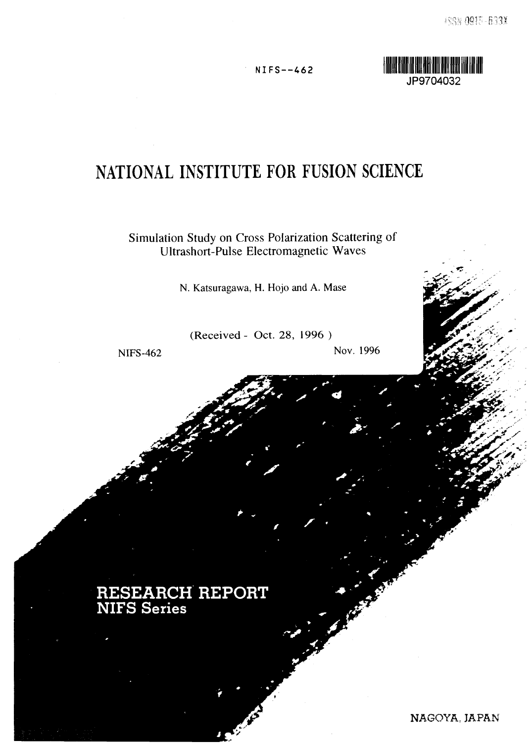**•\*\*- V**

NIFS--462



# **NATIONAL INSTITUTE FOR FUSION SCIENCE**

Simulation Study on Cross Polarization Scattering of Ultrashort-Pulse Electromagnetic Waves

N. Katsuragawa, H. Hojo and A. Mase

(Received- Oct. 28, 1996 )

NIFS-462 Nov. 1996

## **RESEARCH REPORT NIFS Series**

NAGOYA, JAPAN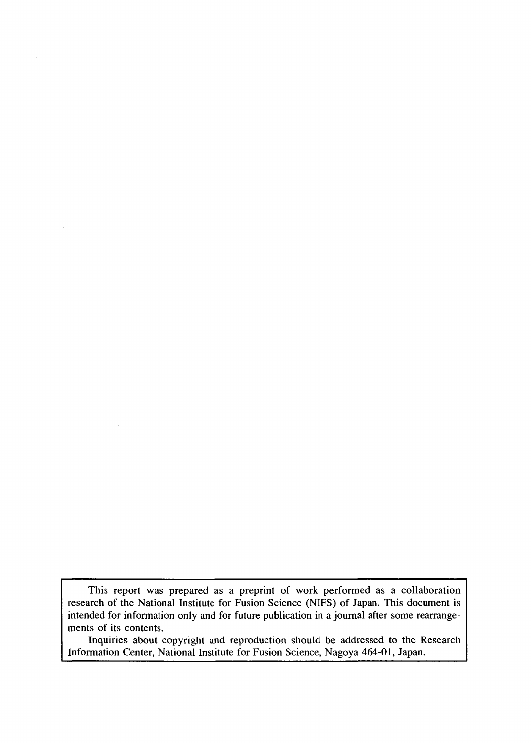This report was prepared as a preprint of work performed as a collaboration research of the National Institute for Fusion Science (NIFS) of Japan. This document is intended for information only and for future publication in a journal after some rearrangements of its contents.

Inquiries about copyright and reproduction should be addressed to the Research Information Center, National Institute for Fusion Science, Nagoya 464-01, Japan.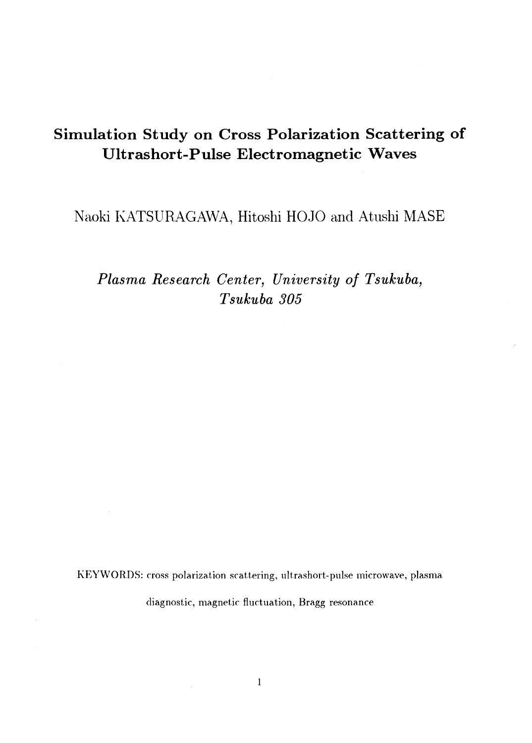### **Simulation Study on Cross Polarization Scattering of Ultrashort-Pulse Electromagnetic Waves**

Naoki KATSURAGAWA, Hitoshi HOJO and Atushi MASE

*Plasma Research Center, University of Tsukuba, Tsukuba 305*

KEYWORDS: cross polarization scattering, ultrashort-pulse microwave, plasma diagnostic, magnetic fluctuation, Bragg resonance

 $\sim 10$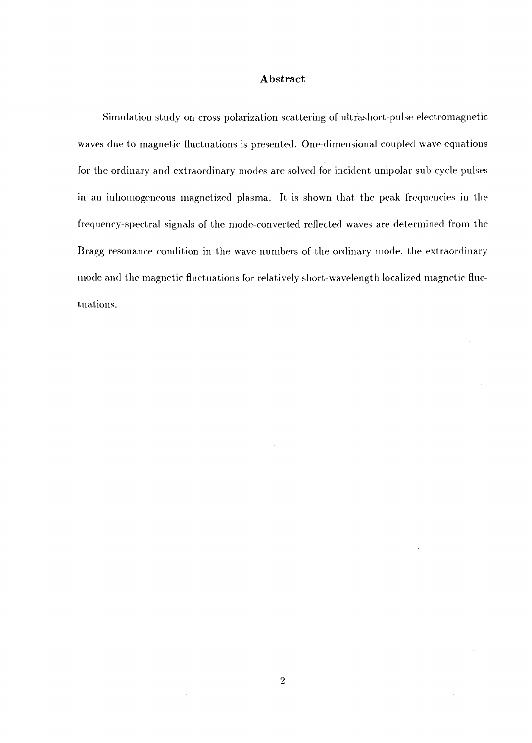#### **Abstract**

Simulation study on cross polarization scattering of ultrashort-pulse electromagnetic waves due to magnetic fluctuations is presented. One-dimensional coupled wave equations for the ordinary and extraordinary modes are solved for incident unipolar sub-cycle pulses in an inhomogeneous magnetized plasma. It is shown that the peak frequencies in the frequency-spectral signals of the mode-converted reflected waves are determined from the Bragg resonance condition in the wave numbers of the ordinary mode, the extraordinary mode and the magnetic fluctuations for relatively short-wavelength localized magnetic fluctuations.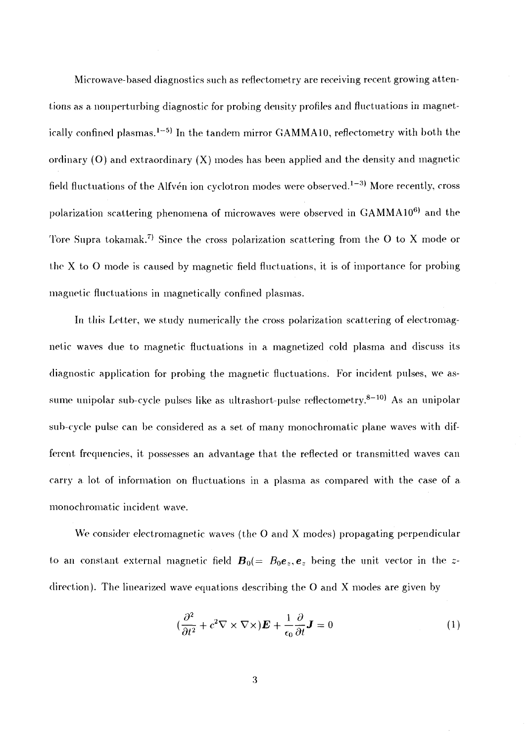Microwave-based diagnostics such as reflectometry are receiving recent growing attentions as a nonperturbing diagnostic for probing density profiles and fluctuations in magnetically confined plasmas.<sup>1–5)</sup> In the tandem mirror GAMMA10, reflectometry with both the ordinary (O) and extraordinary (X) modes has been applied and the density and magnetic field fluctuations of the Alfvén ion cyclotron modes were observed.<sup>1–3)</sup> More recently, cross polarization scattering phenomena of microwaves were observed in  $\mathop{\mathrm{GAMMA10^{6)}}}\nolimits$  and the Tore Supra tokamak.<sup>7)</sup> Since the cross polarization scattering from the O to X mode or the X to O mode is caused by magnetic field fluctuations, it is of importance for probing magnetic fluctuations in magnetically confined plasmas.

In this Letter, we study numerically the cross polarization scattering of electromagnetic waves due to magnetic fluctuations in a. magnetized cold plasma and discuss its diagnostic application for probing the magnetic fluctuations. For incident pulses, we assume unipolar sub-cycle pulses like as ultrashort-pulse reflectometry.<sup>8–10)</sup> As an unipolar sub-cycle pulse can be considered as a set of many monochromatic plane waves with different frequencies, it possesses an advantage that the reflected or transmitted waves can carry a lot of information on fluctuations in a plasma as compared with the case of a monochromatic incident wave.

We consider electromagnetic waves (the O and X modes) propagating perpendicular to an constant external magnetic field  $\bm{B}_0 (=\ B_0 \bm{e}_z,\bm{e}_z$  being the unit vector in the  $z$ direction). The linearized wave equations describing the O and X modes are given by

$$
(\frac{\partial^2}{\partial t^2} + c^2 \nabla \times \nabla \times) \boldsymbol{E} + \frac{1}{\epsilon_0} \frac{\partial}{\partial t} \boldsymbol{J} = 0 \tag{1}
$$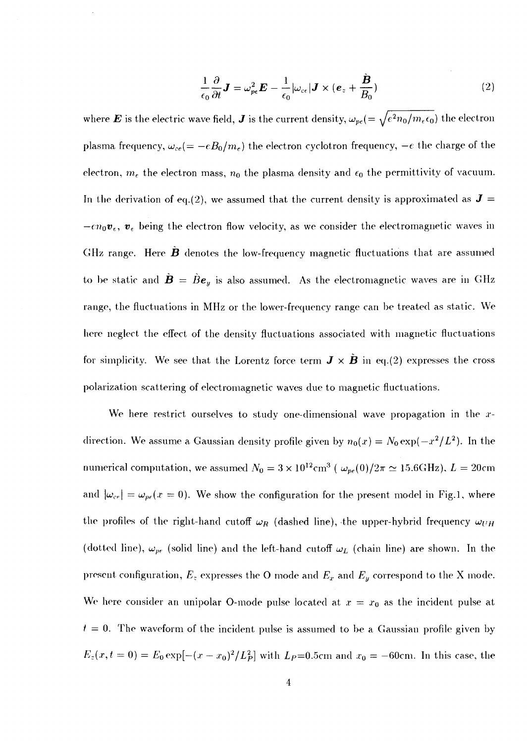$$
\frac{1}{\epsilon_0} \frac{\partial}{\partial t} \mathbf{J} = \omega_{pe}^2 \mathbf{E} - \frac{1}{\epsilon_0} |\omega_{ce}| \mathbf{J} \times (\mathbf{e}_z + \frac{\mathbf{\dot{B}}}{B_0})
$$
(2)

where  $\bm E$  is the electric wave field,  $\bm J$  is the current density,  $\omega_{pe} (=\sqrt{e^2 n_0/m_e \epsilon_0})$  the electron plasma frequency,  $\omega_{ce} = -eB_0/m_e$ ) the electron cyclotron frequency,  $-e$  the charge of the electron,  $m_e$  the electron mass,  $n_0$  the plasma density and  $\epsilon_0$  the permittivity of vacuum. In the derivation of eq.(2), we assumed that the current density is approximated as  $J =$  $-en_0\mathbf{v}_{\epsilon}, \mathbf{v}_{\epsilon}$  being the electron flow velocity, as we consider the electromagnetic waves in GHz range. Here *B* denotes the low-frequency magnetic fluctuations that are assumed to be static and  $\dot{\mathbf{B}} = \dot{B} \mathbf{e}_y$  is also assumed. As the electromagnetic waves are in GHz range, the fluctuations in MHz or the lower-frequency range can be treated as static. We here neglect the effect of the density fluctuations associated with magnetic fluctuations for simplicity. We see that the Lorentz force term  $J \times B$  in eq.(2) expresses the cross polarization scattering of electromagnetic waves due to magnetic fluctuations.

We here restrict ourselves to study one-dimensional wave propagation in the  $x$ direction. We assume a Gaussian density profile given by  $n_0(x) = N_0 \exp(-x^2/L^2)$ . In the numerical computation, we assumed  $N_0 = 3 \times 10^{12} \text{cm}^3$  (  $\omega_{pe}(0)/2\pi \simeq 15.6 \text{GHz})$ ,  $L = 20 \text{cm}^3$ and  $|\omega_{ce}| = \omega_{pe}(x = 0)$ . We show the configuration for the present model in Fig.1, where the profiles of the right-hand cutoff  $\omega_R$  (dashed line), the upper-hybrid frequency  $\omega_{UH}$ (dotted line),  $\omega_{pe}$  (solid line) and the left-hand cutoff  $\omega_L$  (chain line) are shown. In the present configuration, *E~* expresses the O mode and *Ex* and *Ey* correspond to the X mode. We here consider an unipolar O-mode pulse located at  $x = x_0$  as the incident pulse at  $t = 0$ . The waveform of the incident pulse is assumed to be a Gaussian profile given by  $E_z(x,t=0) = E_0 \exp[-(x-x_0)^2/L_P^2]$  with  $L_P$ =0.5cm and  $x_0 = -60$ cm. In this case, the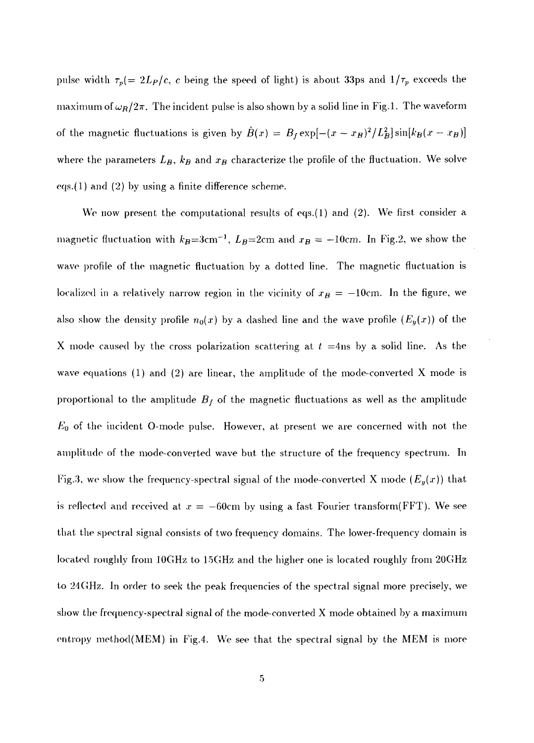pulse width  $\tau_p(=2L_P/c, c$  being the speed of light) is about 33ps and  $1/\tau_p$  exceeds the maximum of  $\omega_R/2\pi$ . The incident pulse is also shown by a solid line in Fig.1. The waveform of the magnetic fluctuations is given by  $\tilde{B}(x) = B_f \exp[-(x - x_B)^2/L_B^2] \sin[k_B(x - x_B)]$ where the parameters *Lg, kg* and *xg* characterize the profile of the fluctuation. We solve eqs.(l) and (2) by using a finite difference scheme.

We now present the computational results of eqs.(1) and  $(2)$ . We first consider a magnetic fluctuation with  $k_B = 3$ cm<sup>-1</sup>,  $L_B = 2$ cm and  $x_B = -10$ cm. In Fig.2, we show the wave profile of the magnetic fluctuation by a dotted line. The magnetic fluctuation is localized in a relatively narrow region in the vicinity of  $x_B = -10$ cm. In the figure, we also show the density profile  $n_0(x)$  by a dashed line and the wave profile  $(E_y(x))$  of the X mode caused by the cross polarization scattering at *t* =4ns by a solid line. As the wave equations (1) and (2) are linear, the amplitude of the mode-converted X mode is proportional to the amplitude  $B_f$  of the magnetic fluctuations as well as the amplitude *EQ* of the incident 0-mode pulse. However, at present we are concerned with not the amplitude of the mode-converted wave but the structure of the frequency spectrum. In Fig.3, we show the frequency-spectral signal of the mode-converted X mode  $(E_y(x))$  that is reflected and received at  $x = -60$ cm by using a fast Fourier transform(FFT). We see that the spectral signal consists of two frequency domains. The lower-frequency domain is located roughly from lOGHz to 15GHz and the higher one is located roughly from 20GHz to 24GHz. In order to seek the peak frequencies of the spectral signal more precisely, we show the frequency-spectral signal of the mode-converted X mode obtained by a maximum entropy method(MEM) in Fig.4. We see that the spectral signal by the MEM is more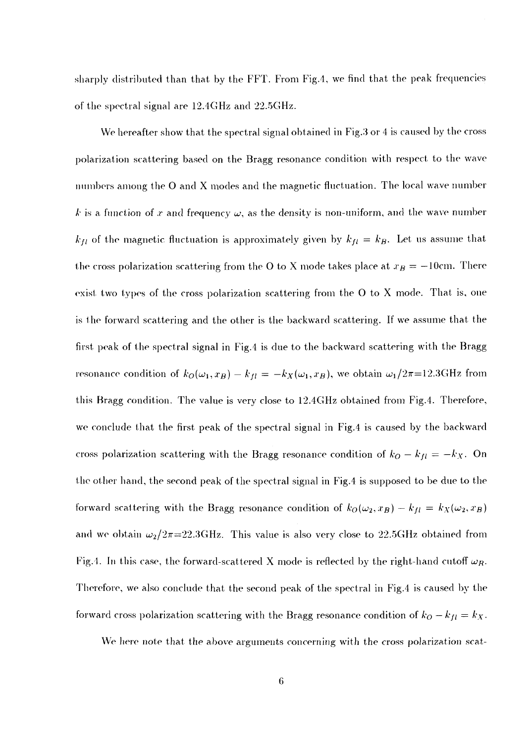sharply distributed than that by the FFT. From Fig.4, we find that the peak frequencies of the spectra] signal are 12.4GHz and 22.5GHz.

We hereafter show that the spectral signal obtained in Fig.3 or 4 is caused by the cross polarization scattering based on the Bragg resonance condition with respect to the wave numbers among the O and X modes and the magnetic fluctuation. The local wave number *k* is a function of x and frequency  $\omega$ , as the density is non-uniform, and the wave number  $k_{fl}$  of the magnetic fluctuation is approximately given by  $k_{fl} = k_B$ . Let us assume that the cross polarization scattering from the O to X mode takes place at  $x_B = -10$ cm. There exist two types of the cross polarization scattering from the O to X mode. That is, one is the forward scattering and the other is the backward scattering. If we assume that the first peak of the spectral signal in Fig.4 is due to the backward scattering with the Bragg resonance condition of  $k_O(\omega_1, x_B) - k_{fl} = -k_X(\omega_1, x_B)$ , we obtain  $\omega_1/2\pi$ =12.3GHz from this Bragg condition. The value is very close to 12.4GHz obtained from Fig.4. Therefore, we conclude that the first peak of the spectral signal in Fig.4 is caused by the backward cross polarization scattering with the Bragg resonance condition of  $k_O - k_{fl} = -k_X$ . On the other hand, the second peak of the spectral signal in Fig.4 is supposed to be due to the forward scattering with the Bragg resonance condition of  $k_O(\omega_2, x_B) - k_{fl} = k_X(\omega_2, x_B)$ and we obtain  $\omega_2/2\pi$ =22.3GHz. This value is also very close to 22.5GHz obtained from Fig.4. In this case, the forward-scattered X mode is reflected by the right-hand cutoff  $\omega_R$ . Therefore, we also conclude that the second peak of the spectral in Fig.4 is caused by the forward cross polarization scattering with the Bragg resonance condition of  $k_O - k_{fl} = k_X$ .

We here note that the above arguments concerning with the cross polarization scat-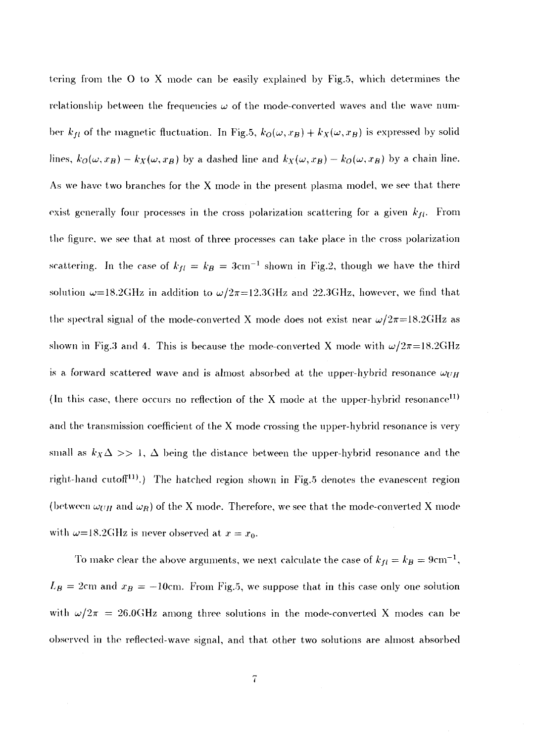tering from the O to X mode can be easily explained by Fig.5, which determines the relationship between the frequencies  $\omega$  of the mode-converted waves and the wave number  $k_{fl}$  of the magnetic fluctuation. In Fig.5,  $k_O(\omega,x_B) + k_X(\omega,x_B)$  is expressed by solid lines,  $k_O(\omega, x_B) - k_X(\omega, x_B)$  by a dashed line and  $k_X(\omega, x_B) - k_O(\omega, x_B)$  by a chain line. As we have two branches for the X mode in the present plasma model, we see that there exist generally four processes in the cross polarization scattering for a given *kji.* From the figure, we see that at most of three processes can take place in the cross polarization scattering. In the case of  $k_{fl} = k_B = 3 \text{cm}^{-1}$  shown in Fig.2, though we have the third solution  $\omega{=}18.2\text{GHz}$  in addition to  $\omega/2\pi{=}12.3\text{GHz}$  and  $22.3\text{GHz}$ , however, we find that the spectral signal of the mode-converted X mode does not exist near  $\omega/2\pi=18.2\text{GHz}$  as shown in Fig.3 and 4. This is because the mode-converted X mode with  $\omega/2\pi=18.2\text{GHz}$ is a forward scattered wave and is almost absorbed at the upper-hybrid resonance  $\omega_{UH}$ (In this case, there occurs no reflection of the X mode at the upper-hybrid resonance<sup>11)</sup> and the transmission coefficient of the X mode crossing the upper-hybrid resonance is very small as  $k_X\Delta >> 1$ ,  $\Delta$  being the distance between the upper-hybrid resonance and the right-hand cutof<sup>[11]</sup>.) The hatched region shown in Fig.5 denotes the evanescent region (between  $\omega_{UH}$  and  $\omega_R$ ) of the X mode. Therefore, we see that the mode-converted X mode with  $\omega$ =18.2GHz is never observed at  $x = x_0$ .

To make clear the above arguments, we next calculate the case of  $k_{fl}=k_B=9\mathrm{cm}^{-1},$  $L_B = 2$ cm and  $x_B = -10$ cm. From Fig.5, we suppose that in this case only one solution with  $\omega/2\pi = 26.0\text{GHz}$  among three solutions in the mode-converted X modes can be observed in the reflected-wave signal, and that other two solutions are almost absorbed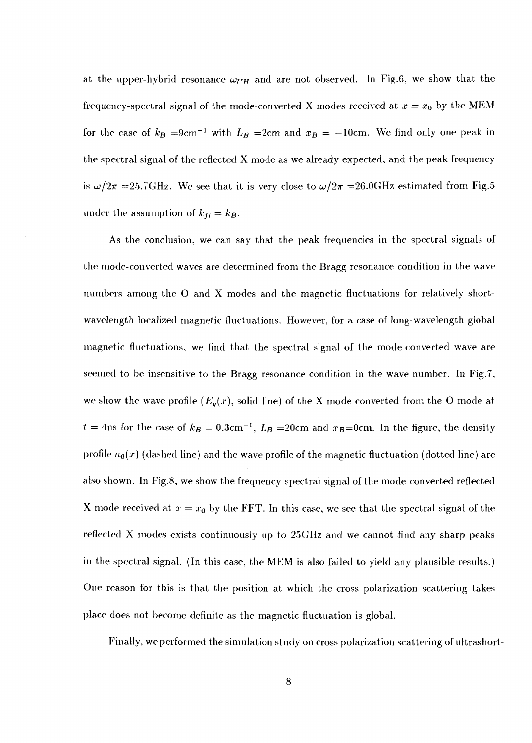at the upper-hybrid resonance  $\omega_{UH}$  and are not observed. In Fig.6, we show that the frequency-spectral signal of the mode-converted X modes received at  $x = x_0$  by the MEM for the case of  $k_B = 9 \text{cm}^{-1}$  with  $L_B = 2 \text{cm}$  and  $x_B = -10 \text{cm}$ . We find only one peak in the spectral signal of the reflected X mode as we already expected, and the peak frequency is  $\omega/2\pi$  =25.7GHz. We see that it is very close to  $\omega/2\pi$  =26.0GHz estimated from Fig.5 under the assumption of  $k_{fl} = k_B$ .

As the conclusion, we can say that the peak frequencies in the spectral signals of the mode-converted waves are determined from the Bragg resonance condition in the wave numbers among the O and X modes and the magnetic fluctuations for relatively shortwavelength localized magnetic fluctuations. However, for a case of long-wavelength global magnetic fluctuations, we find that the spectral signal of the mode-converted wave are seemed to be insensitive to the Bragg resonance condition in the wave number. In Fig.7, we show the wave profile  $(E_y(x), \text{ solid line})$  of the X mode converted from the O mode at  $t = 4$ ns for the case of  $k_B = 0.3$ cm<sup>-1</sup>,  $L_B = 20$ cm and  $x_B$ =0cm. In the figure, the density profile  $n_0(x)$  (dashed line) and the wave profile of the magnetic fluctuation (dotted line) are also shown. In Fig.8, we show the frequency-spectral signal of the mode-converted reflected X mode received at  $x = x_0$  by the FFT. In this case, we see that the spectral signal of the reflected X modes exists continuously up to 25GHz and we cannot find any sharp peaks in the spectral signal. (In this case, the MEM is also failed to yield any plausible results.) One reason for this is that the position at which the cross polarization scattering takes place does not become definite as the magnetic fluctuation is global.

Finally, we performed the simulation study on cross polarization scattering of ultrashort-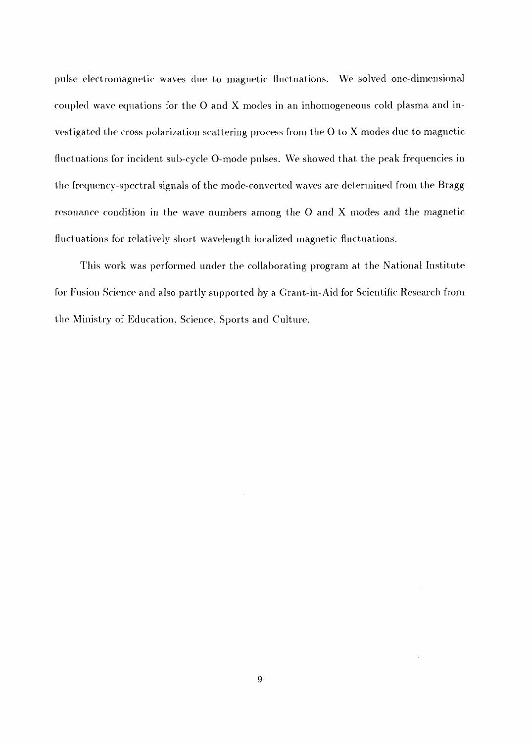pulse electromagnetic waves due to magnetic fluctuations. We solved one-dimensional coupled wave equations for the 0 and X modes in an inhomogeneous cold plasma and investigated the cross polarization scattering process from the O to X modes due to magnetic fluctuations for incident sub-cycle O-mode pulses. We showed that the peak frequencies in the frequency-spectral signals of the mode-converted waves are determined from the Bragg resonance condition in the wave numbers among the O and X modes and the magnetic fluctuations for relatively short wavelength localized magnetic fluctuations.

This work was performed under the collaborating program at the National Institute for Fusion Science and also partly supported by a Grant-in-Aid for Scientific Research from the Ministry of Education, Science, Sports and Culture.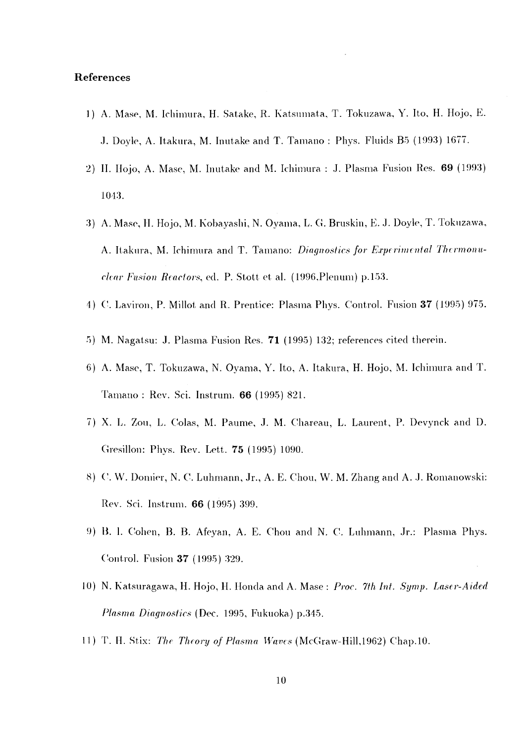#### **References**

- 1) A. Mase, M. Ichimura, H. Satake, R. Katsumata, T. Tokuzawa, Y. Ito, H. Hojo, E. J. Doyle, A. Itakura, M. Inutake and T. Tamano : Phys. Fluids B5 (1993) 1677.
- 2) H. Hojo, A. Mase, M. Inutake and M. Ichimura : J. Plasma Fusion Res. 69 (1993) 1013.
- 3) A. Mase, H. Hojo, M. Kobayashi, N. Oyama, L. G. Bruskin, *E.* J. Doyle, T. Tokuzawa, A. Itakura, M. Ichimura and T. Tamano: *Diagnostics for Experimental Thermonuclear Fusion Reactors,* ed. P. Stott et al. (1996,Plenum) p. 153.
- 4) ('. Laviron, P. Millot and R. Prentice: Plasma Phys. Control. Fusion 37 (1995) 975.
- 5) M. Nagatsu: J. Plasma Fusion Res. 71 (1995) 132; references cited therein.
- 6) A. Mase, T. Tokuzawa., N. Oyama, Y. Ito, A. Itakura, H. Hojo, M. Ichimura and T. Tamano : Rev. Sci. Instrum. 66 (1995) 821.
- 7) X. L. Zou, L. Colas, M. Paume, J. M. Chareau, L. Laurent, P. Devynck and D. Gresillon: Phys. Rev. Lett. 75 (1995) 1090.
- 8) C. W. Domier, N. C. Luhmann, Jr., A. E. Chou, W. M. Zhang and A. J. Romanowski: Rev. Sci. Instrum. 66 (1995) 399.
- 9) B. I. Cohen, B. B. Afeyan, A. E. Chou and N. C. Luhmann, Jr.: Plasma Phys. Control. Fusion 37 (1995) 329.
- 10) N. Katsuragawa, H. Hojo, H. Honda and A. Mase: Proc. 7th Int. Symp. Laser-Aided *Plasma Diagnostics* (Dec. 1995, Fukuoka) p.345.
- 11) T. H. Stix: *The Theory of Plasma Waves* (McGraw-Hill, 1962) Chap.10.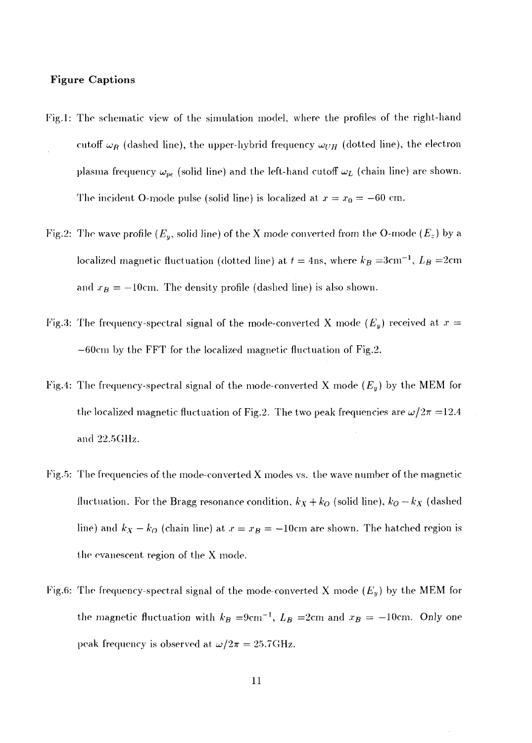#### **Figure Captions**

- Fig.l: The schematic view of the simulation model, where the profiles of the right-hand cutoff  $\omega_R$  (dashed line), the upper-hybrid frequency  $\omega_{UH}$  (dotted line), the electron plasma frequency  $\omega_{pe}$  (solid line) and the left-hand cutoff  $\omega_L$  (chain line) are shown. The incident O-mode pulse (solid line) is localized at  $x = x_0 = -60$  cm.
- Fig.2: The wave profile  $(E_y, \text{ solid line})$  of the X mode converted from the O-mode  $(E_z)$  by a localized magnetic fluctuation (dotted line) at  $t = 4 \text{ns},$  where  $k_B = 3 \text{cm}^{-1}, \, L_B = 2 \text{cm}^{-1}$ and  $x_B = -10$ cm. The density profile (dashed line) is also shown.
- Fig.3: The frequency-spectral signal of the mode-converted X mode *{Ey)* received at *x —* —60cm by the FFT for the localized magnetic fluctuation of Fig.2.
- Fig.4: The frequency-spectral signal of the mode-converted X mode *(Ey)* by the MEM for the localized magnetic fluctuation of Fig.2. The two peak frequencies are  $\omega/2\pi = 12.4$ and 22.5GHz.
- Fig.5: The frequencies of the mode-converted  $X$  modes vs. the wave number of the magnetic fluctuation. For the Bragg resonance condition,  $k_X + k_O$  (solid line),  $k_O - k_X$  (dashed line) and  $k_X - k_O$  (chain line) at  $x = x_B = -10$ cm are shown. The hatched region is the evanescent region of the X mode.
- Fig.6: The frequency-spectral signal of the mode-converted X mode *(Ey)* by the MEM for the magnetic fluctuation with  $k_B = 9$ cm<sup>-1</sup>,  $L_B = 2$ cm and  $x_B = -10$ cm. Only one peak frequency is observed at  $\omega/2\pi = 25.7\text{GHz}$ .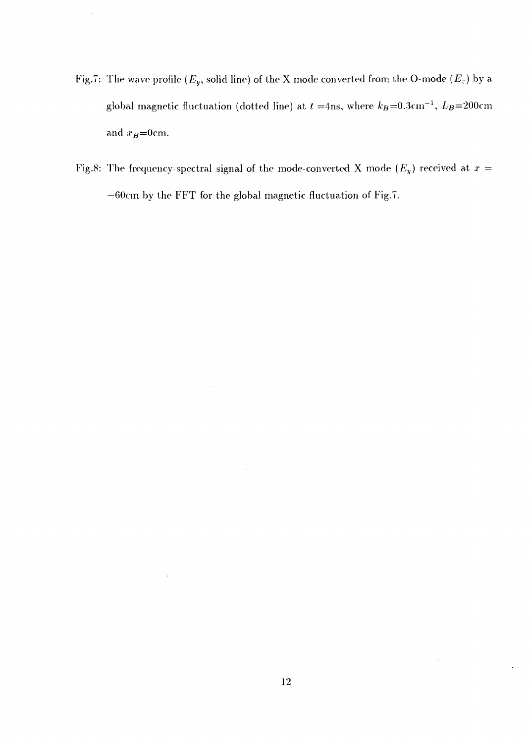Fig.7: The wave profile  $(E_y, \text{ solid line})$  of the X mode converted from the O-mode  $(E_z)$  by a global magnetic fluctuation (dotted line) at  $t=$ 4ns, where  $k_B{=}0.3{\rm cm}^{-1},~L_B{=}200{\rm cm}$ and  $x_B=0$ cm.

 $\cdot$ 

Fig.8: The frequency-spectral signal of the mode-converted X mode  $(E_y)$  received at  $x =$ —60cm by the FFT for the global magnetic fluctuation of Fig.7.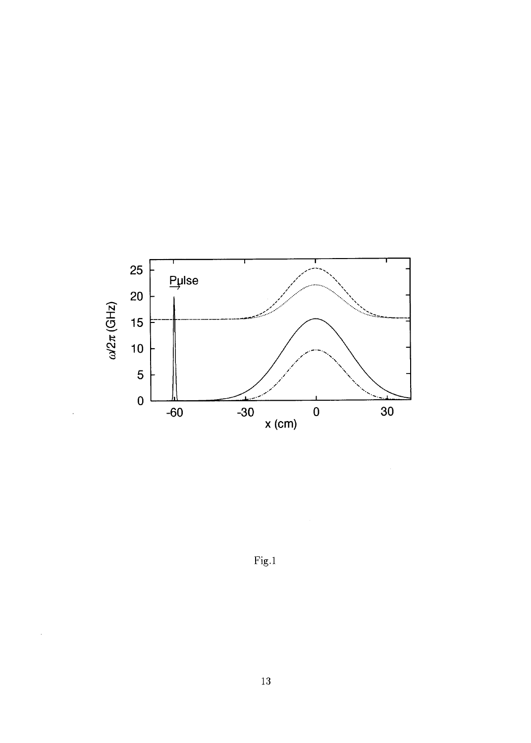

Fig.l

 $\hat{\mathcal{A}}$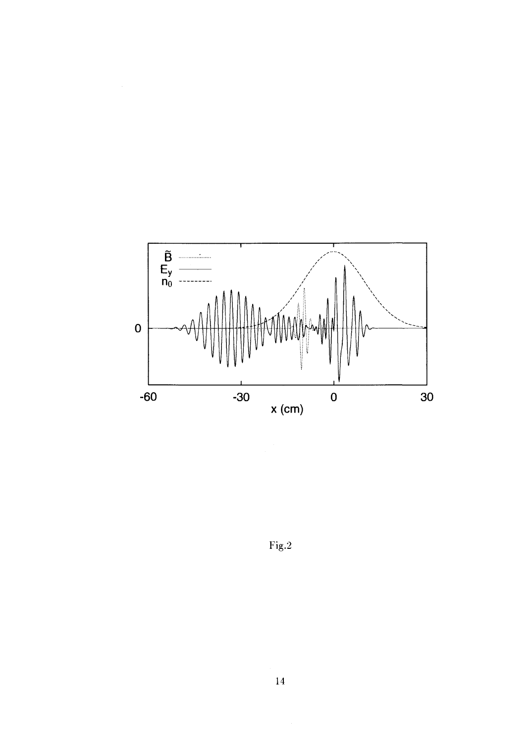

 $\bar{z}$ 

Fig.2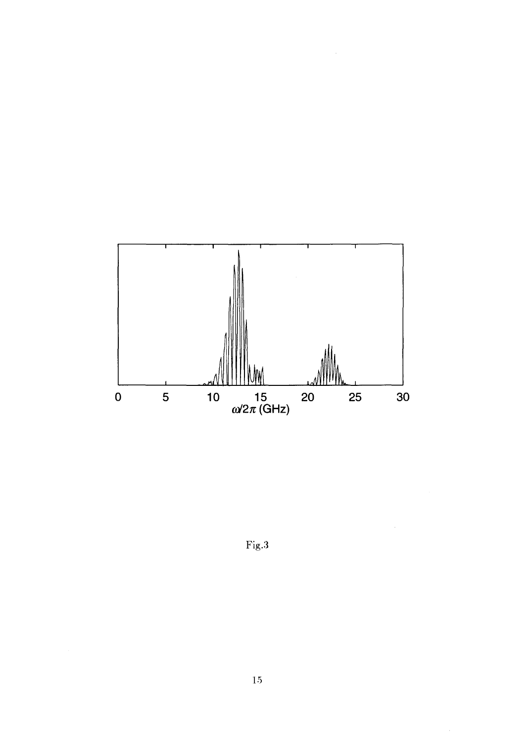

Fig.3

 $\mathcal{L}_{\mathcal{A}}$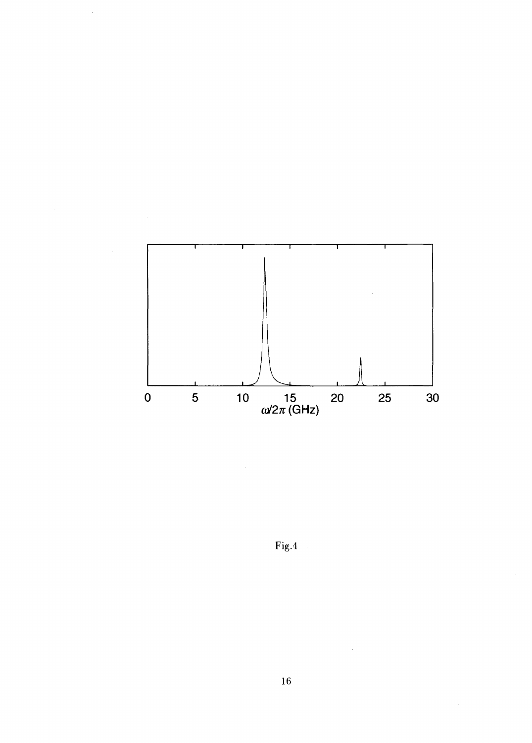

 $\hat{\mathcal{A}}$ 

Fig.4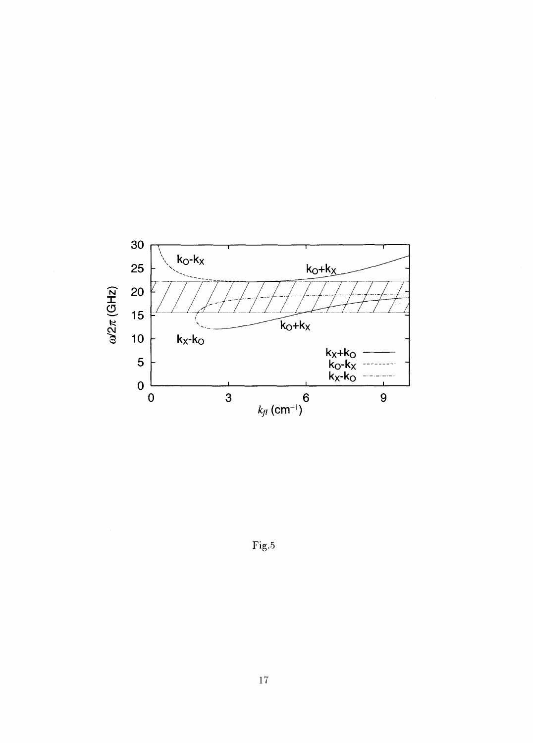

Fig.5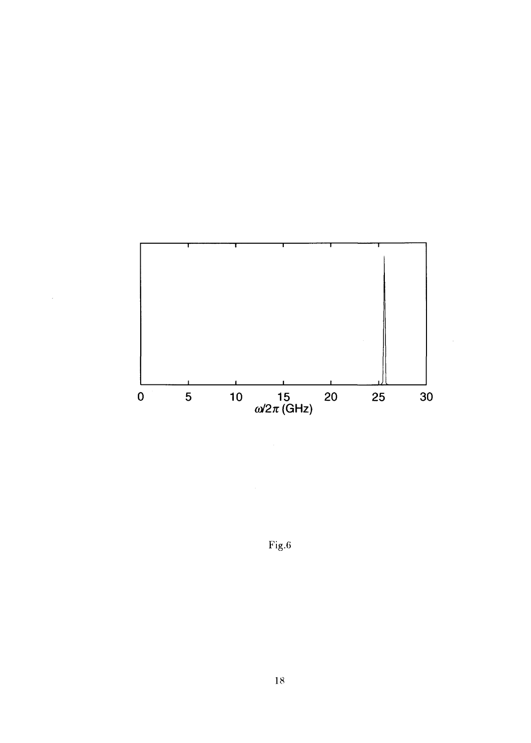

l,

Fig.6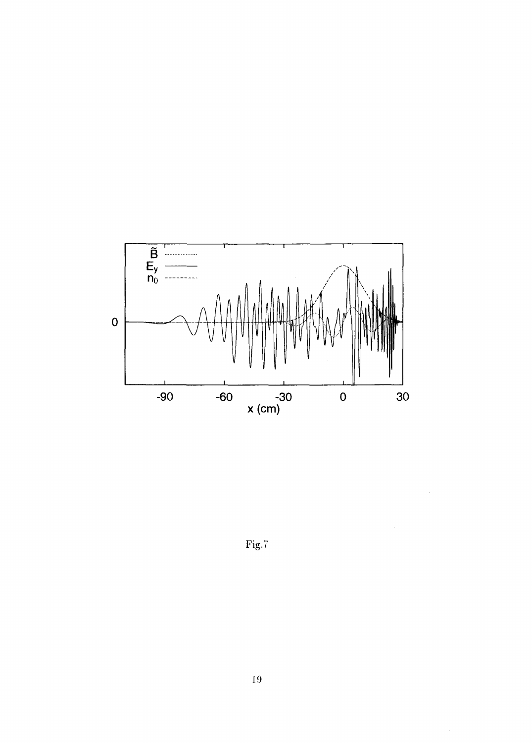

Fig.7

 $\hat{\mathcal{L}}$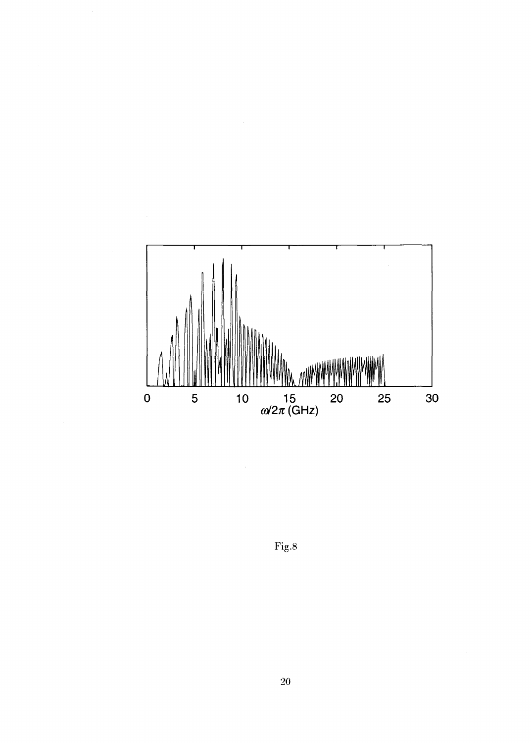

Fig.8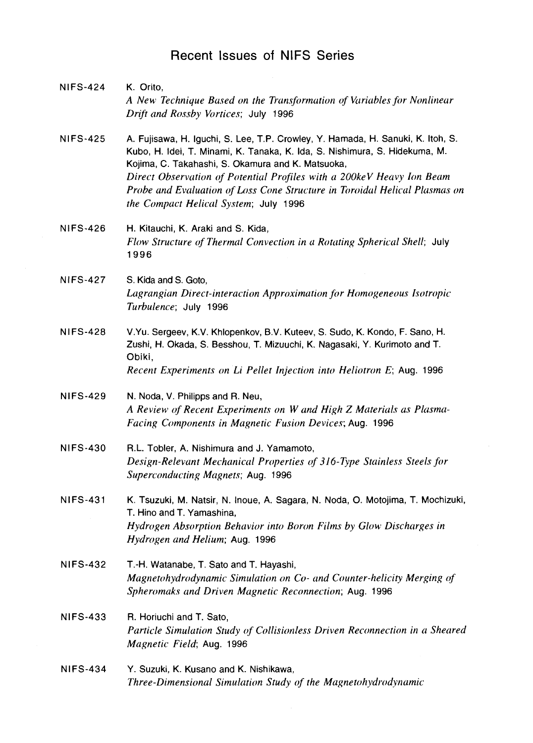### Recent Issues of NIFS Series

NIFS-424 K. Orito, *A New Technique Based on the Transformation of Variables for Nonlinear Drift and Rossby Vortices;* July 1996 NIFS-425 A. Fujisawa, H. Iguchi, S. Lee, T.P. Crowley, Y. Hamada, H. Sanuki, K. Itoh, S. Kubo, H. Idei, T. Minami, K. Tanaka, K. Ida, S. Nishimura, S. Hidekuma, M. Kojima, C. Takahashi, S. Okamura and K. Matsuoka, *Direct Observation of Potential Profiles with a 200keV Heavy Ion Beam Probe and Evaluation of Loss Cone Structure in Toroidal Helical Plasmas on the Compact Helical System;* July 1996 NIFS-426 H. Kitauchi, K. Araki and S. Kida, *Flow Structure of Thermal Convection in a Rotating Spherical Shell;* July 1996 NIFS-427 S. Kida and S. Goto, *Lagrangian Direct-interaction Approximation for Homogeneous Isotropie Turbulence;* July 1996 NIFS-428 V.Yu. Sergeev, K.V. Khlopenkov, B.V. Kuteev, S. Sudo, K. Kondo, F. Sano, H. Zushi, H. Okada, S. Besshou, T. Mizuuchi, K. Nagasaki, Y. Kurimoto and T. Obiki, Recent Experiments on Li Pellet Injection into Heliotron E; Aug. 1996 NIFS-429 N. Noda, V. Philipps and R. Neu, *A Review of Recent Experiments on W and High Z Materials as Plasma-Facing Components in Magnetic Fusion Devices;* Aug. 1996 NIFS-430 R.L Tobler, A. Nishimura and J. Yamamoto, *Design-Relevant Mechanical Properties of 316-Type Stainless Steels for Superconducting Magnets;* Aug. 1996 NIFS-431 K. Tsuzuki, M. Natsir, N. Inoue, A. Sagara, N. Noda, O. Motojima, T. Mochizuki, T. Hino and T. Yamashina, *Hydrogen Absorption Behavior into Boron Films by Glow Discharges in Hydrogen and Helium;* Aug. 1996 NIFS-432 T.-H. Watanabe, T. Sato and T. Hayashi, *Magnetohydrodynamic Simulation on Co- and Counter-helicity Merging of Spheromaks and Driven Magnetic Reconnection;* Aug. 1996 NIFS-433 R. Horiuchi and T. Sato, *Particle Simulation Study of Collisionless Driven Reconnection in a Sheared Magnetic Field;* Aug. 1996 NIFS-434 Y. Suzuki, K. Kusano and K. Nishikawa, *Three-Dimensional Simulation Study of the Magnetohydrodynamic*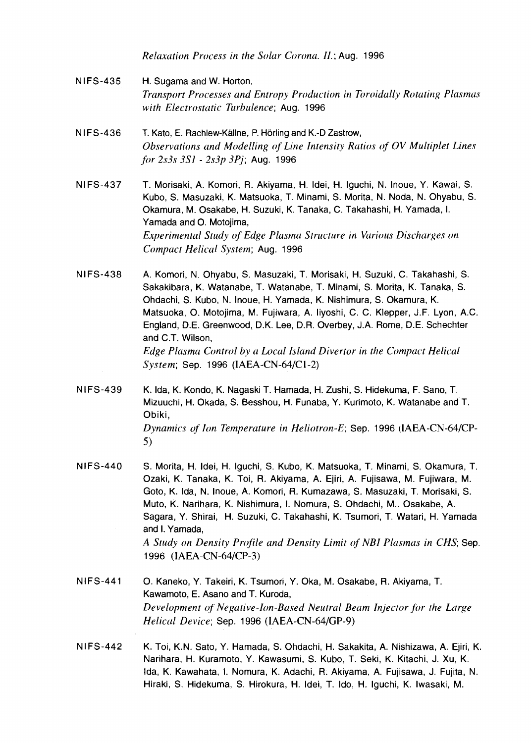*Relaxation Process in the Solar Corona. II.;* Aug. 1996

- NIFS-435 H. Sugama and W. Horton, *Transport Processes and Entropy Production in Toroidally Rotating Plasmas with Electrostatic Turbulence;* Aug. 1996
- NIFS-436 T. Kato, E. Rachlew-Kallne, P. Horling and K.-D Zastrow, *Observations and Modelling of Line Intensity Ratios of OV Multiplet Lines for 2s3s 3SI - 2s3p 3Pj;* Aug. 1996
- NIFS-437 T. Morisaki, A. Komori, R. Akiyama, H. Idei, H. Iguchi, N. Inoue, Y. Kawai, S. Kubo, S. Masuzaki, K. Matsuoka, T. Minami, S. Morita, N. Noda, N. Ohyabu, S. Okamura, M. Osakabe, H. Suzuki, K. Tanaka, C. Takahashi, H. Yamada, I. Yamada and O. Motojima, *Experimental Study of Edge Plasma Structure in Various Discharges on Compact Helical System;* Aug. 1996
- NIFS-438 A. Komori, N. Ohyabu, S. Masuzaki, T. Morisaki, H. Suzuki, C. Takahashi, S. Sakakibara, K. Watanabe, T. Watanabe, T. Minami, S. Morita, K. Tanaka, S. Ohdachi, S. Kubo, N. Inoue, H. Yamada, K. Nishimura, S. Okamura, K. Matsuoka, O. Motojima, M. Fujiwara, A. liyoshi, C. C. Klepper, J.F. Lyon, A.C. England, D.E. Greenwood, D.K. Lee, D.R. Overbey, J.A. Rome, D.E. Schechter and C.T. Wilson, *Edge Plasma Control by a Local Island Divertor in the Compact Helical System;* Sep. 1996 (IAEA-CN-64/C1-2)
- NIFS-439 K. Ida, K. Kondo, K. Nagaski T. Hamada, H. Zushi, S. Hidekuma, F. Sano, T. Mizuuchi, H. Okada, S. Besshou, H. Funaba, Y. Kurimoto, K. Watanabe and T. Obiki, *Dynamics of Ion Temperature in Heliotron-E;* Sep. 1996 (IAEA-CN-64/CP-5)
- NIFS-440 S. Morita, H. Idei, H. Iguchi, S. Kubo, K. Matsuoka, T. Minami, S. Okamura, T. Ozaki, K. Tanaka, K. Toi, R. Akiyama, A. Ejiri, A. Fujisawa, M. Fujiwara, M. Goto, K. Ida, N. Inoue, A. Komori, R. Kumazawa, S. Masuzaki, T. Morisaki, S. Muto, K. Narihara, K. Nishimura, I. Nomura, S. Ohdachi, M.. Osakabe, A. Sagara, Y. Shirai, H. Suzuki, C. Takahashi, K. Tsumori, T. Watari, H. Yamada and I. Yamada, *A Study on Density Profile and Density Limit of NBI Plasmas in CHS;* Sep. 1996 (IAEA-CN-64/CP-3)
- NIFS-441 O. Kaneko, Y. Takeiri, K. Tsumori, Y. Oka, M. Osakabe, R. Akiyama, T. Kawamoto, E. Asano and T. Kuroda, *Development of Negative-Ion-Based Neutral Beam Injector for the Large Helical Device;* Sep. 1996 (IAEA-CN-64/GP-9)
- NIFS-442 K. Toi, K.N. Sato, Y. Hamada, S. Ohdachi, H. Sakakita, A. Nishizawa, A. Ejiri, K. Narihara, H. Kuramoto, Y. Kawasumi, S. Kubo, T. Seki, K. Kitachi, J. Xu, K. Ida, K. Kawahata, I. Nomura, K. Adachi, R. Akiyama, A. Fujisawa, J. Fujita, N. Hiraki, S. Hidekuma, S. Hirokura, H. Idei, T. Ido, H. Iguchi, K. Iwasaki, M.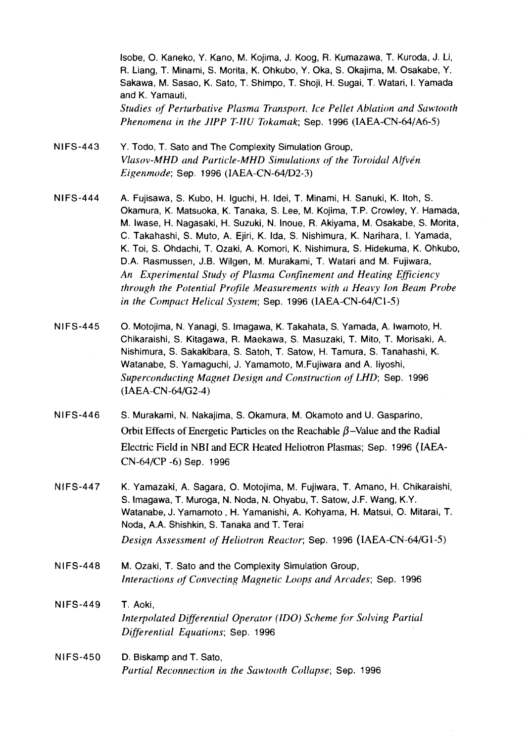Isobe, O. Kaneko, Y. Kano, M. Kojima, J. Koog, R. Kumazawa, T. Kuroda, J. Li, R. Liang, T. Minami, S. Morita, K. Ohkubo, Y. Oka, S. Okajima, M. Osakabe, Y. Sakawa, M. Sasao, K. Sato, T. Shimpo, T. Shoji, H. Sugai, T. Watari, I. Yamada and K. Yamauti, *Studies of Perturbative Plasma Transport, Ice Pellet Ablation and Sawtooth Phenomena in the JIPP T-IIU Tokamak;* Sep. 1996 (IAEA-CN-64/A6-5)

- NIFS-443 Y. Todo, T. Sato and The Complexity Simulation Group, *Vlasov-MHD and Particle-MHD Simulations of the Toroidal Alfvén Eigenmode;* Sep. 1996 (IAEA-CN-64/D2-3)
- NIFS-444 A. Fujisawa, S. Kubo, H. Iguchi, H. Idei, T. Minami, H. Sanuki, K. Itoh, S. Okamura, K. Matsuoka, K. Tanaka, S. Lee, M. Kojima, T.P. Crowley, Y. Hamada, M. Iwase, H. Nagasaki, H. Suzuki, N. Inoue, R. Akiyama, M, Osakabe, S. Morita, C. Takahashi, S. Muto, A. Ejiri, K. Ida, S. Nishimura, K. Narihara, I. Yamada, K. Toi, S. Ohdachi, T. Ozaki, A. Komori, K. Nishimura, S. Hidekuma, K. Ohkubo, D.A. Rasmussen, J.B. Wilgen, M. Murakami, T. Watari and M. Fujiwara, An Experimental Study of Plasma Confinement and Heating Efficiency through the Potential Profile Measurements with a Heavy Ion Beam Probe in the Compact Helical System; Sep. 1996 (IAEA-CN-64/C1-5)
- NIFS-445 O. Motojima, N. Yanagi, S. Imagawa, K. Takahata, S. Yamada, A. Iwamoto, H. Chikaraishi, S. Kitagawa, R. Maekawa, S. Masuzaki, T. Mito, T. Morisaki, A. Nishimura, S. Sakakibara, S. Satoh, T. Satow, H. Tamura, S. Tanahashi, K. Watanabe, S. Yamaguchi, J. Yamamoto, M.Fujiwara and A. liyoshi, Superconducting Magnet Design and Construction of LHD; Sep. 1996 (IAEA-CN-64/G2-4)
- NIFS-446 S. Murakami, N. Nakajima, S. Okamura, M. Okamoto and U. Gasparino, Orbit Effects of Energetic Particles on the Reachable  $\beta$ -Value and the Radial Electric Field in NBI and ECR Heated Heliotron Plasmas; Sep. 1996 (IAEA-CN-64/CP-6) Sep. 1996
- NIFS-447 K. Yamazaki, A. Sagara, O. Motojima, M. Fujiwara, T. Amano, H. Chikaraishi, S. Imagawa, T. Muroga, N. Noda, N. Ohyabu, T. Satow, J.F. Wang, K.Y. Watanabe, J. Yamamoto , H. Yamanishi, A. Kohyama, H. Matsui, O. Mitarai, T. Noda, A.A. Shishkin, S. Tanaka and T. Terai *Design Assessment of Heliotron Reactor;* Sep. 1996 (IAEA-CN-64/G1-5)
- NIFS-448 M. Ozaki, T. Sato and the Complexity Simulation Group, *Interactions of Convecting Magnetic Loops and Arcades;* Sep. 1996
- NIFS-449 T. Aoki, *Interpolated Differential Operator (IDO) Scheme for Solving Partial Differential Equations;* Sep. 1996
- NIFS-450 D. Biskamp and T. Sato, *Partial Reconnection in the Sawtooth Collapse;* Sep. 1996